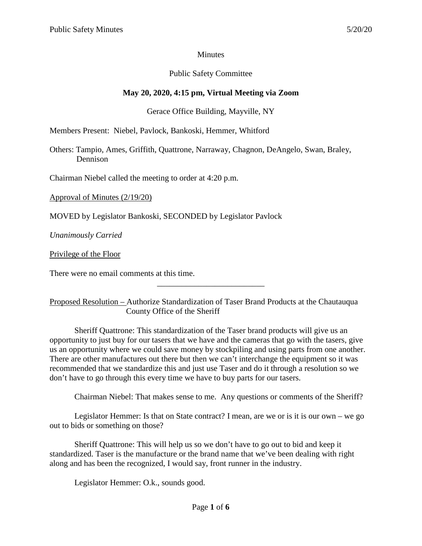## **Minutes**

## Public Safety Committee

# **May 20, 2020, 4:15 pm, Virtual Meeting via Zoom**

## Gerace Office Building, Mayville, NY

Members Present: Niebel, Pavlock, Bankoski, Hemmer, Whitford

Others: Tampio, Ames, Griffith, Quattrone, Narraway, Chagnon, DeAngelo, Swan, Braley, Dennison

Chairman Niebel called the meeting to order at 4:20 p.m.

Approval of Minutes (2/19/20)

MOVED by Legislator Bankoski, SECONDED by Legislator Pavlock

*Unanimously Carried*

Privilege of the Floor

There were no email comments at this time.

Proposed Resolution – Authorize Standardization of Taser Brand Products at the Chautauqua County Office of the Sheriff

\_\_\_\_\_\_\_\_\_\_\_\_\_\_\_\_\_\_\_\_\_\_\_\_\_\_

Sheriff Quattrone: This standardization of the Taser brand products will give us an opportunity to just buy for our tasers that we have and the cameras that go with the tasers, give us an opportunity where we could save money by stockpiling and using parts from one another. There are other manufactures out there but then we can't interchange the equipment so it was recommended that we standardize this and just use Taser and do it through a resolution so we don't have to go through this every time we have to buy parts for our tasers.

Chairman Niebel: That makes sense to me. Any questions or comments of the Sheriff?

Legislator Hemmer: Is that on State contract? I mean, are we or is it is our own – we go out to bids or something on those?

Sheriff Quattrone: This will help us so we don't have to go out to bid and keep it standardized. Taser is the manufacture or the brand name that we've been dealing with right along and has been the recognized, I would say, front runner in the industry.

Legislator Hemmer: O.k., sounds good.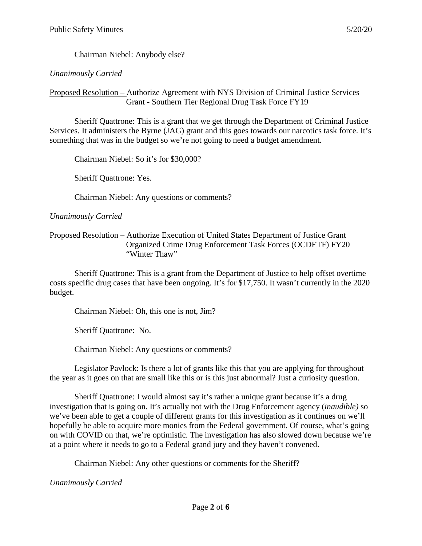Chairman Niebel: Anybody else?

## *Unanimously Carried*

Proposed Resolution – Authorize Agreement with NYS Division of Criminal Justice Services Grant - Southern Tier Regional Drug Task Force FY19

Sheriff Quattrone: This is a grant that we get through the Department of Criminal Justice Services. It administers the Byrne (JAG) grant and this goes towards our narcotics task force. It's something that was in the budget so we're not going to need a budget amendment.

Chairman Niebel: So it's for \$30,000?

Sheriff Quattrone: Yes.

Chairman Niebel: Any questions or comments?

*Unanimously Carried*

Proposed Resolution – Authorize Execution of United States Department of Justice Grant Organized Crime Drug Enforcement Task Forces (OCDETF) FY20 "Winter Thaw"

Sheriff Quattrone: This is a grant from the Department of Justice to help offset overtime costs specific drug cases that have been ongoing. It's for \$17,750. It wasn't currently in the 2020 budget.

Chairman Niebel: Oh, this one is not, Jim?

Sheriff Quattrone: No.

Chairman Niebel: Any questions or comments?

Legislator Pavlock: Is there a lot of grants like this that you are applying for throughout the year as it goes on that are small like this or is this just abnormal? Just a curiosity question.

Sheriff Quattrone: I would almost say it's rather a unique grant because it's a drug investigation that is going on. It's actually not with the Drug Enforcement agency (*inaudible)* so we've been able to get a couple of different grants for this investigation as it continues on we'll hopefully be able to acquire more monies from the Federal government. Of course, what's going on with COVID on that, we're optimistic. The investigation has also slowed down because we're at a point where it needs to go to a Federal grand jury and they haven't convened.

Chairman Niebel: Any other questions or comments for the Sheriff?

*Unanimously Carried*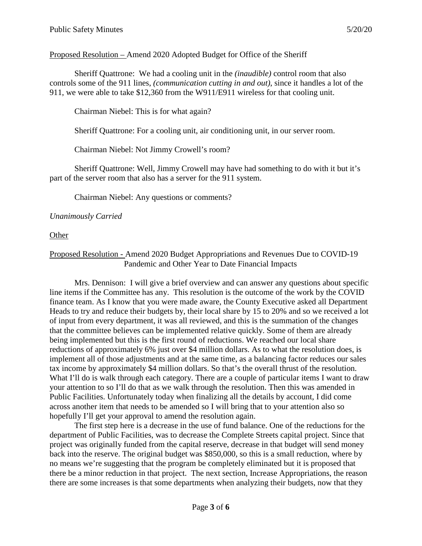#### Proposed Resolution – Amend 2020 Adopted Budget for Office of the Sheriff

Sheriff Quattrone: We had a cooling unit in the *(inaudible)* control room that also controls some of the 911 lines, *(communication cutting in and out)*, since it handles a lot of the 911, we were able to take \$12,360 from the W911/E911 wireless for that cooling unit.

Chairman Niebel: This is for what again?

Sheriff Quattrone: For a cooling unit, air conditioning unit, in our server room.

Chairman Niebel: Not Jimmy Crowell's room?

Sheriff Quattrone: Well, Jimmy Crowell may have had something to do with it but it's part of the server room that also has a server for the 911 system.

Chairman Niebel: Any questions or comments?

#### *Unanimously Carried*

**Other** 

#### Proposed Resolution - Amend 2020 Budget Appropriations and Revenues Due to COVID-19 Pandemic and Other Year to Date Financial Impacts

Mrs. Dennison: I will give a brief overview and can answer any questions about specific line items if the Committee has any. This resolution is the outcome of the work by the COVID finance team. As I know that you were made aware, the County Executive asked all Department Heads to try and reduce their budgets by, their local share by 15 to 20% and so we received a lot of input from every department, it was all reviewed, and this is the summation of the changes that the committee believes can be implemented relative quickly. Some of them are already being implemented but this is the first round of reductions. We reached our local share reductions of approximately 6% just over \$4 million dollars. As to what the resolution does, is implement all of those adjustments and at the same time, as a balancing factor reduces our sales tax income by approximately \$4 million dollars. So that's the overall thrust of the resolution. What I'll do is walk through each category. There are a couple of particular items I want to draw your attention to so I'll do that as we walk through the resolution. Then this was amended in Public Facilities. Unfortunately today when finalizing all the details by account, I did come across another item that needs to be amended so I will bring that to your attention also so hopefully I'll get your approval to amend the resolution again.

The first step here is a decrease in the use of fund balance. One of the reductions for the department of Public Facilities, was to decrease the Complete Streets capital project. Since that project was originally funded from the capital reserve, decrease in that budget will send money back into the reserve. The original budget was \$850,000, so this is a small reduction, where by no means we're suggesting that the program be completely eliminated but it is proposed that there be a minor reduction in that project. The next section, Increase Appropriations, the reason there are some increases is that some departments when analyzing their budgets, now that they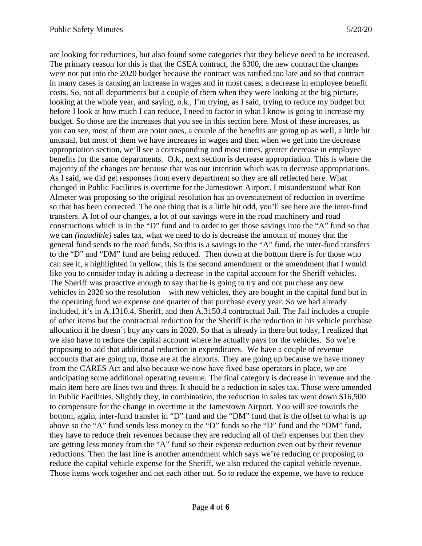are looking for reductions, but also found some categories that they believe need to be increased. The primary reason for this is that the CSEA contract, the 6300, the new contract the changes were not put into the 2020 budget because the contract was ratified too late and so that contract in many cases is causing an increase in wages and in most cases, a decrease in employee benefit costs. So, not all departments but a couple of them when they were looking at the big picture, looking at the whole year, and saying, o.k., I'm trying, as I said, trying to reduce my budget but before I look at how much I can reduce, I need to factor in what I know is going to increase my budget. So those are the increases that you see in this section here. Most of these increases, as you can see, most of them are point ones, a couple of the benefits are going up as well, a little bit unusual, but most of them we have increases in wages and then when we get into the decrease appropriation section, we'll see a corresponding and most times, greater decrease in employee benefits for the same departments. O.k., next section is decrease appropriation. This is where the majority of the changes are because that was our intention which was to decrease appropriations. As I said, we did get responses from every department so they are all reflected here. What changed in Public Facilities is overtime for the Jamestown Airport. I misunderstood what Ron Almeter was proposing so the original resolution has an overstatement of reduction in overtime so that has been corrected. The one thing that is a little bit odd, you'll see here are the inter-fund transfers. A lot of our changes, a lot of our savings were in the road machinery and road constructions which is in the "D" fund and in order to get those savings into the "A" fund so that we can *(inaudible)* sales tax, what we need to do is decrease the amount of money that the general fund sends to the road funds. So this is a savings to the "A" fund, the inter-fund transfers to the "D" and "DM" fund are being reduced. Then down at the bottom there is for those who can see it, a highlighted in yellow, this is the second amendment or the amendment that I would like you to consider today is adding a decrease in the capital account for the Sheriff vehicles. The Sheriff was proactive enough to say that he is going to try and not purchase any new vehicles in 2020 so the resolution – with new vehicles, they are bought in the capital fund but in the operating fund we expense one quarter of that purchase every year. So we had already included, it's in A.1310.4, Sheriff, and then A.3150.4 contractual Jail. The Jail includes a couple of other items but the contractual reduction for the Sheriff is the reduction in his vehicle purchase allocation if he doesn't buy any cars in 2020. So that is already in there but today, I realized that we also have to reduce the capital account where he actually pays for the vehicles. So we're proposing to add that additional reduction in expenditures. We have a couple of revenue accounts that are going up, those are at the airports. They are going up because we have money from the CARES Act and also because we now have fixed base operators in place, we are anticipating some additional operating revenue. The final category is decrease in revenue and the main item here are lines two and three. It should be a reduction in sales tax. Those were amended in Public Facilities. Slightly they, in combination, the reduction in sales tax went down \$16,500 to compensate for the change in overtime at the Jamestown Airport. You will see towards the bottom, again, inter-fund transfer in "D" fund and the "DM" fund that is the offset to what is up above so the "A" fund sends less money to the "D" funds so the "D" fund and the "DM" fund, they have to reduce their revenues because they are reducing all of their expenses but then they are getting less money from the "A" fund so their expense reduction even out by their revenue reductions. Then the last line is another amendment which says we're reducing or proposing to reduce the capital vehicle expense for the Sheriff, we also reduced the capital vehicle revenue. Those items work together and net each other out. So to reduce the expense, we have to reduce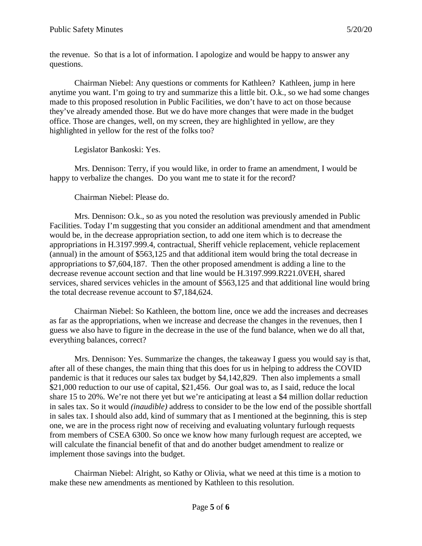the revenue. So that is a lot of information. I apologize and would be happy to answer any questions.

Chairman Niebel: Any questions or comments for Kathleen? Kathleen, jump in here anytime you want. I'm going to try and summarize this a little bit. O.k., so we had some changes made to this proposed resolution in Public Facilities, we don't have to act on those because they've already amended those. But we do have more changes that were made in the budget office. Those are changes, well, on my screen, they are highlighted in yellow, are they highlighted in yellow for the rest of the folks too?

Legislator Bankoski: Yes.

Mrs. Dennison: Terry, if you would like, in order to frame an amendment, I would be happy to verbalize the changes. Do you want me to state it for the record?

Chairman Niebel: Please do.

Mrs. Dennison: O.k., so as you noted the resolution was previously amended in Public Facilities. Today I'm suggesting that you consider an additional amendment and that amendment would be, in the decrease appropriation section, to add one item which is to decrease the appropriations in H.3197.999.4, contractual, Sheriff vehicle replacement, vehicle replacement (annual) in the amount of \$563,125 and that additional item would bring the total decrease in appropriations to \$7,604,187. Then the other proposed amendment is adding a line to the decrease revenue account section and that line would be H.3197.999.R221.0VEH, shared services, shared services vehicles in the amount of \$563,125 and that additional line would bring the total decrease revenue account to \$7,184,624.

Chairman Niebel: So Kathleen, the bottom line, once we add the increases and decreases as far as the appropriations, when we increase and decrease the changes in the revenues, then I guess we also have to figure in the decrease in the use of the fund balance, when we do all that, everything balances, correct?

Mrs. Dennison: Yes. Summarize the changes, the takeaway I guess you would say is that, after all of these changes, the main thing that this does for us in helping to address the COVID pandemic is that it reduces our sales tax budget by \$4,142,829. Then also implements a small \$21,000 reduction to our use of capital, \$21,456. Our goal was to, as I said, reduce the local share 15 to 20%. We're not there yet but we're anticipating at least a \$4 million dollar reduction in sales tax. So it would *(inaudible)* address to consider to be the low end of the possible shortfall in sales tax. I should also add, kind of summary that as I mentioned at the beginning, this is step one, we are in the process right now of receiving and evaluating voluntary furlough requests from members of CSEA 6300. So once we know how many furlough request are accepted, we will calculate the financial benefit of that and do another budget amendment to realize or implement those savings into the budget.

Chairman Niebel: Alright, so Kathy or Olivia, what we need at this time is a motion to make these new amendments as mentioned by Kathleen to this resolution.